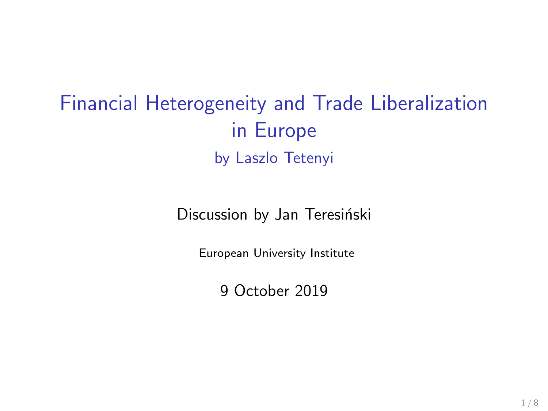Financial Heterogeneity and Trade Liberalization in Europe by Laszlo Tetenyi

Discussion by Jan Teresiński

European University Institute

9 October 2019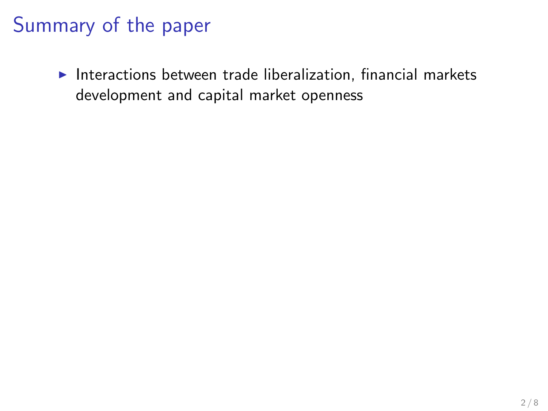#### Summary of the paper

 $\blacktriangleright$  Interactions between trade liberalization, financial markets development and capital market openness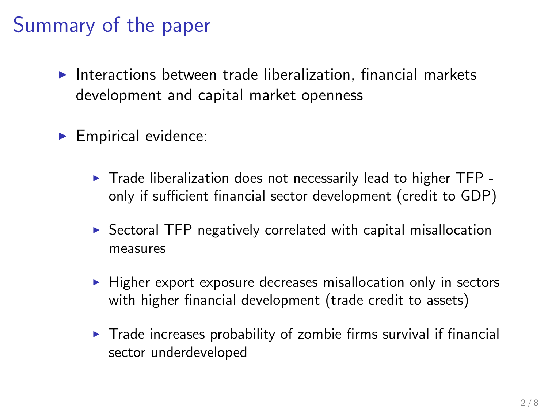#### Summary of the paper

- $\blacktriangleright$  Interactions between trade liberalization, financial markets development and capital market openness
- $\blacktriangleright$  Empirical evidence:
	- $\triangleright$  Trade liberalization does not necessarily lead to higher TFP only if sufficient financial sector development (credit to GDP)
	- $\triangleright$  Sectoral TFP negatively correlated with capital misallocation measures
	- $\blacktriangleright$  Higher export exposure decreases misallocation only in sectors with higher financial development (trade credit to assets)
	- $\triangleright$  Trade increases probability of zombie firms survival if financial sector underdeveloped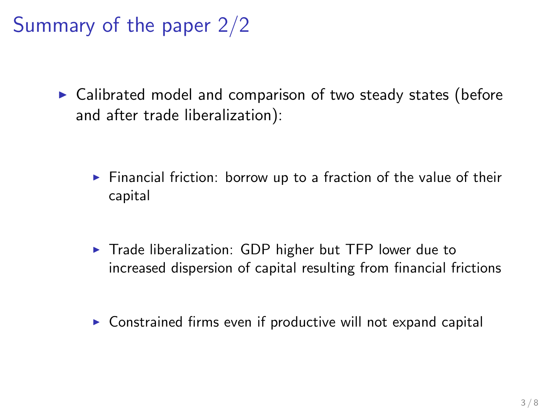Summary of the paper 2/2

 $\triangleright$  Calibrated model and comparison of two steady states (before and after trade liberalization):

- $\triangleright$  Financial friction: borrow up to a fraction of the value of their capital
- $\triangleright$  Trade liberalization: GDP higher but TFP lower due to increased dispersion of capital resulting from financial frictions
- $\triangleright$  Constrained firms even if productive will not expand capital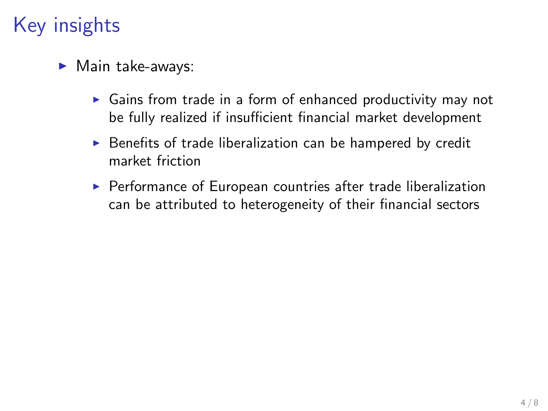# Key insights

- $\blacktriangleright$  Main take-aways:
	- $\triangleright$  Gains from trade in a form of enhanced productivity may not be fully realized if insufficient financial market development
	- $\triangleright$  Benefits of trade liberalization can be hampered by credit market friction
	- $\triangleright$  Performance of European countries after trade liberalization can be attributed to heterogeneity of their financial sectors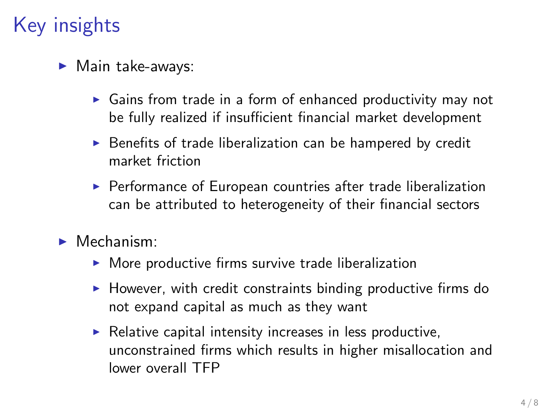# Key insights

- $\blacktriangleright$  Main take-aways:
	- $\triangleright$  Gains from trade in a form of enhanced productivity may not be fully realized if insufficient financial market development
	- $\triangleright$  Benefits of trade liberalization can be hampered by credit market friction
	- $\triangleright$  Performance of European countries after trade liberalization can be attributed to heterogeneity of their financial sectors
- $\blacktriangleright$  Mechanism:
	- $\triangleright$  More productive firms survive trade liberalization
	- $\blacktriangleright$  However, with credit constraints binding productive firms do not expand capital as much as they want
	- $\blacktriangleright$  Relative capital intensity increases in less productive, unconstrained firms which results in higher misallocation and lower overall TFP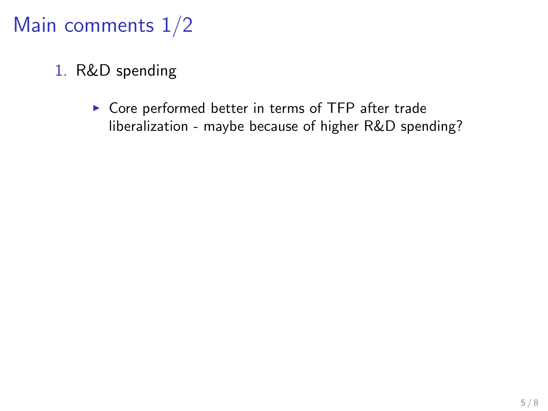## Main comments 1/2

- 1. R&D spending
	- $\triangleright$  Core performed better in terms of TFP after trade liberalization - maybe because of higher R&D spending?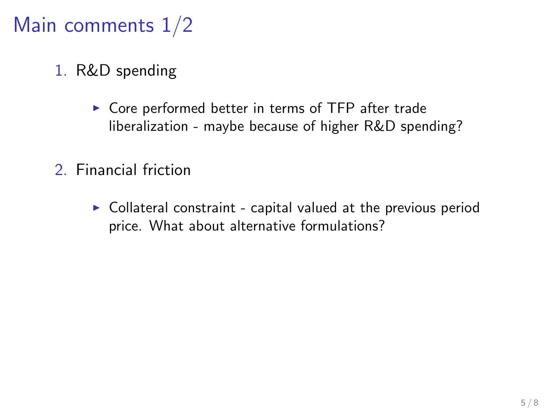## Main comments 1/2

- 1. R&D spending
	- $\triangleright$  Core performed better in terms of TFP after trade liberalization - maybe because of higher R&D spending?
- 2. Financial friction
	- $\triangleright$  Collateral constraint capital valued at the previous period price. What about alternative formulations?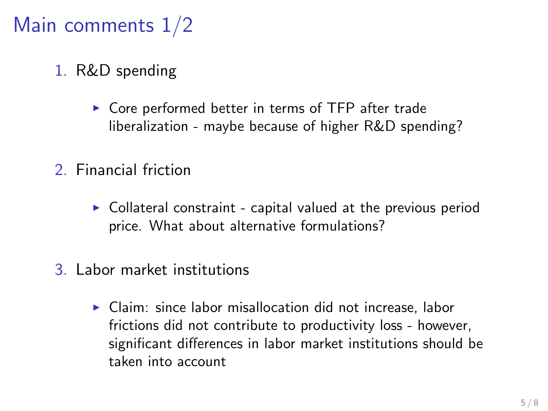## Main comments 1/2

- 1. R&D spending
	- $\triangleright$  Core performed better in terms of TFP after trade liberalization - maybe because of higher R&D spending?
- 2. Financial friction
	- $\triangleright$  Collateral constraint capital valued at the previous period price. What about alternative formulations?
- 3. Labor market institutions
	- $\triangleright$  Claim: since labor misallocation did not increase, labor frictions did not contribute to productivity loss - however, significant differences in labor market institutions should be taken into account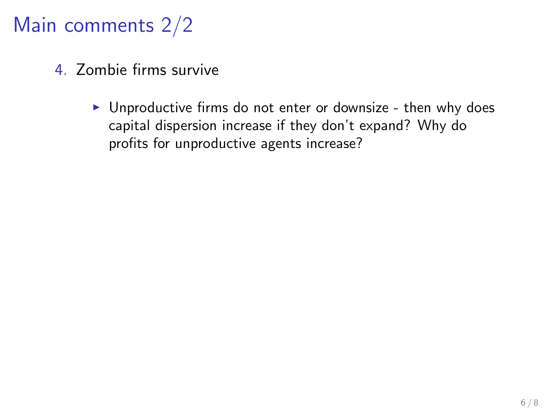## Main comments 2/2

- 4. Zombie firms survive
	- $\triangleright$  Unproductive firms do not enter or downsize then why does capital dispersion increase if they don't expand? Why do profits for unproductive agents increase?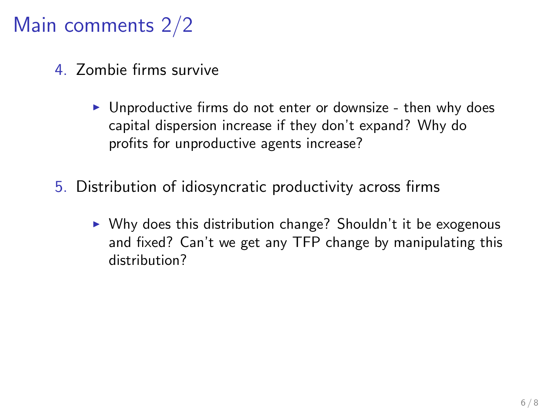## Main comments 2/2

- 4. Zombie firms survive
	- $\triangleright$  Unproductive firms do not enter or downsize then why does capital dispersion increase if they don't expand? Why do profits for unproductive agents increase?
- 5. Distribution of idiosyncratic productivity across firms
	- $\triangleright$  Why does this distribution change? Shouldn't it be exogenous and fixed? Can't we get any TFP change by manipulating this distribution?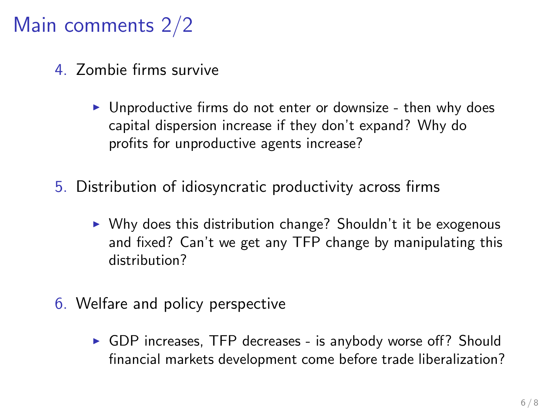## Main comments 2/2

- 4. Zombie firms survive
	- $\triangleright$  Unproductive firms do not enter or downsize then why does capital dispersion increase if they don't expand? Why do profits for unproductive agents increase?
- 5. Distribution of idiosyncratic productivity across firms
	- $\triangleright$  Why does this distribution change? Shouldn't it be exogenous and fixed? Can't we get any TFP change by manipulating this distribution?
- 6. Welfare and policy perspective
	- $\triangleright$  GDP increases, TFP decreases is anybody worse off? Should financial markets development come before trade liberalization?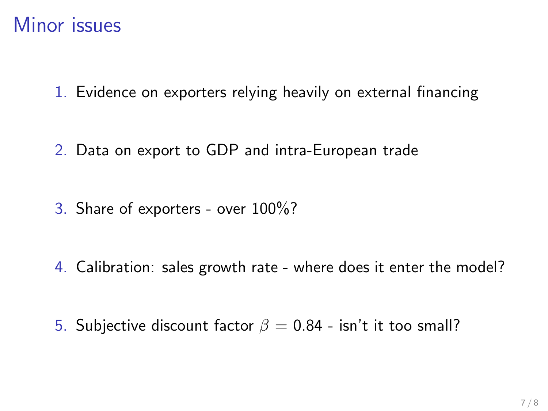#### Minor issues

1. Evidence on exporters relying heavily on external financing

2. Data on export to GDP and intra-European trade

3. Share of exporters - over 100%?

4. Calibration: sales growth rate - where does it enter the model?

5. Subjective discount factor  $\beta = 0.84$  - isn't it too small?